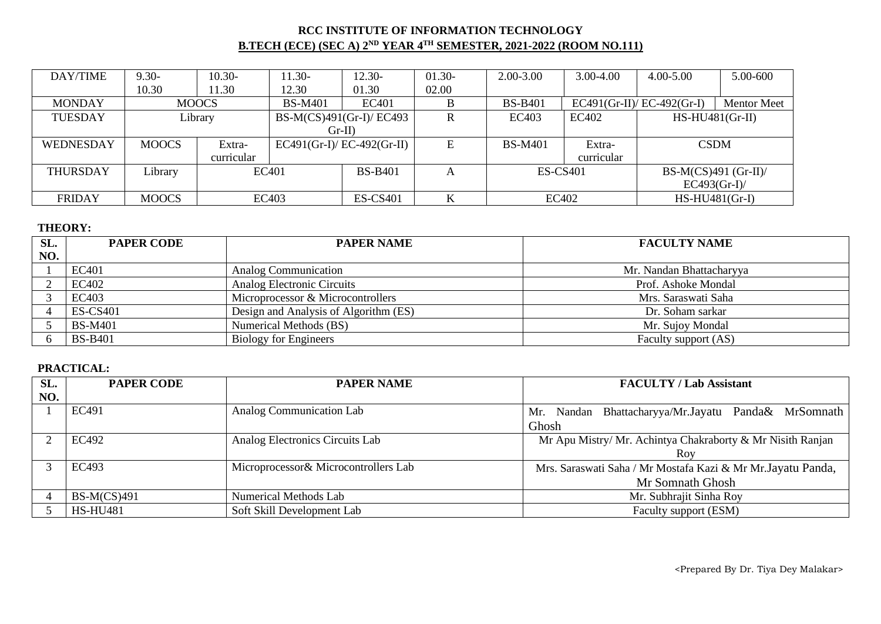## **RCC INSTITUTE OF INFORMATION TECHNOLOGY B.TECH (ECE) (SEC A) 2ND YEAR 4TH SEMESTER, 2021-2022 (ROOM NO.111)**

| DAY/TIME        | $9.30 -$     | $10.30-$     | $11.30-$       | $12.30-$                    | $01.30-$ | 2.00-3.00       | $3.00 - 4.00$ | 4.00-5.00                   | 5.00-600           |
|-----------------|--------------|--------------|----------------|-----------------------------|----------|-----------------|---------------|-----------------------------|--------------------|
|                 | 10.30        | 11.30        | 12.30          | 01.30                       | 02.00    |                 |               |                             |                    |
| <b>MONDAY</b>   |              | <b>MOOCS</b> | <b>BS-M401</b> | EC401                       | B        | <b>BS-B401</b>  |               | $EC491(Gr-II)/EC-492(Gr-I)$ | <b>Mentor Meet</b> |
| <b>TUESDAY</b>  |              | Library      |                | BS-M(CS)491(Gr-I)/ EC493    |          | EC403           | EC402         | $HS-HU481(Gr-II)$           |                    |
|                 |              |              |                | $Gr-II$ )                   |          |                 |               |                             |                    |
| WEDNESDAY       | <b>MOOCS</b> | Extra-       |                | $EC491(Gr-I)/EC-492(Gr-II)$ | E        | <b>BS-M401</b>  | Extra-        | <b>CSDM</b>                 |                    |
|                 |              | curricular   |                |                             |          |                 | curricular    |                             |                    |
| <b>THURSDAY</b> | Library      |              | EC401          |                             |          | <b>ES-CS401</b> |               | BS-M(CS)491 (Gr-II)/        |                    |
|                 |              |              |                |                             |          |                 |               | $EC493(Gr-I)$               |                    |
| <b>FRIDAY</b>   | <b>MOOCS</b> |              | EC403          |                             | K        |                 | EC402         |                             | $HS-HU481(Gr-I)$   |

#### **THEORY:**

| SL. | <b>PAPER CODE</b><br><b>PAPER NAME</b> |                                       | <b>FACULTY NAME</b>      |
|-----|----------------------------------------|---------------------------------------|--------------------------|
| NO. |                                        |                                       |                          |
|     | EC401                                  | <b>Analog Communication</b>           | Mr. Nandan Bhattacharyya |
|     | EC402                                  | Analog Electronic Circuits            | Prof. Ashoke Mondal      |
|     | EC403                                  | Microprocessor & Microcontrollers     | Mrs. Saraswati Saha      |
|     | <b>ES-CS401</b>                        | Design and Analysis of Algorithm (ES) | Dr. Soham sarkar         |
|     | <b>BS-M401</b>                         | Numerical Methods (BS)                | Mr. Sujoy Mondal         |
|     | <b>BS-B401</b>                         | <b>Biology for Engineers</b>          | Faculty support (AS)     |

| SL. | <b>PAPER CODE</b> | <b>PAPER NAME</b>                     | <b>FACULTY / Lab Assistant</b>                               |  |  |
|-----|-------------------|---------------------------------------|--------------------------------------------------------------|--|--|
| NO. |                   |                                       |                                                              |  |  |
|     | EC491             | <b>Analog Communication Lab</b>       | Mr. Nandan Bhattacharyya/Mr.Jayatu Panda& MrSomnath          |  |  |
|     |                   |                                       | Ghosh                                                        |  |  |
|     | EC492             | Analog Electronics Circuits Lab       | Mr Apu Mistry/ Mr. Achintya Chakraborty & Mr Nisith Ranjan   |  |  |
|     |                   |                                       | Roy                                                          |  |  |
|     | EC493             | Microprocessor & Microcontrollers Lab | Mrs. Saraswati Saha / Mr Mostafa Kazi & Mr Mr. Jayatu Panda, |  |  |
|     |                   |                                       | Mr Somnath Ghosh                                             |  |  |
|     | $BS-M(CS)491$     | <b>Numerical Methods Lab</b>          | Mr. Subhrajit Sinha Roy                                      |  |  |
|     | <b>HS-HU481</b>   | Soft Skill Development Lab            | Faculty support (ESM)                                        |  |  |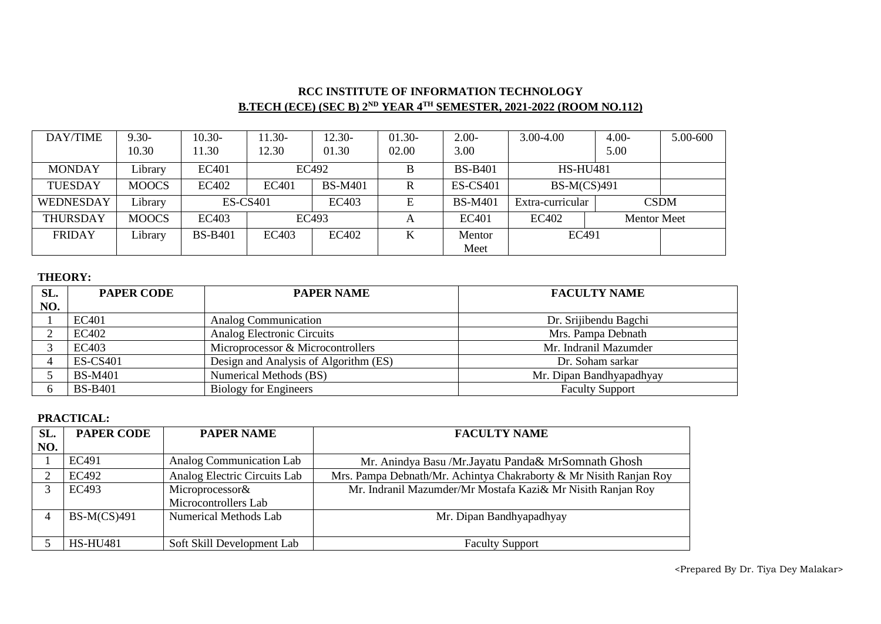# **RCC INSTITUTE OF INFORMATION TECHNOLOGY B.TECH (ECE) (SEC B) 2ND YEAR 4TH SEMESTER, 2021-2022 (ROOM NO.112)**

| DAY/TIME         | $9.30 -$     | $10.30-$        | $11.30-$     | $12.30-$       | $01.30-$ | $2.00-$         | $3.00 - 4.00$               | $4.00 -$        | 5.00-600    |
|------------------|--------------|-----------------|--------------|----------------|----------|-----------------|-----------------------------|-----------------|-------------|
|                  | 10.30        | 1.30            | 12.30        | 01.30          | 02.00    | 3.00            |                             | 5.00            |             |
| <b>MONDAY</b>    | Library      | EC401           |              | EC492          | B        | <b>BS-B401</b>  |                             | <b>HS-HU481</b> |             |
| <b>TUESDAY</b>   | <b>MOOCS</b> | EC402           | <b>EC401</b> | <b>BS-M401</b> | R        | <b>ES-CS401</b> | <b>BS-M(CS)491</b>          |                 |             |
| <b>WEDNESDAY</b> | Library      | <b>ES-CS401</b> |              | EC403          | E        | <b>BS-M401</b>  | Extra-curricular            |                 | <b>CSDM</b> |
| <b>THURSDAY</b>  | <b>MOOCS</b> | EC403           |              | EC493          | A        | EC401           | EC402<br><b>Mentor Meet</b> |                 |             |
| <b>FRIDAY</b>    | Library      | <b>BS-B401</b>  | EC403        | EC402          | K        | Mentor          | EC491                       |                 |             |
|                  |              |                 |              |                |          | Meet            |                             |                 |             |

## **THEORY:**

| SL. | <b>PAPER CODE</b> | <b>PAPER NAME</b>                     | <b>FACULTY NAME</b>      |
|-----|-------------------|---------------------------------------|--------------------------|
| NO. |                   |                                       |                          |
|     | EC401             | Analog Communication                  | Dr. Srijibendu Bagchi    |
|     | EC402             | Analog Electronic Circuits            | Mrs. Pampa Debnath       |
|     | EC403             | Microprocessor & Microcontrollers     | Mr. Indranil Mazumder    |
|     | <b>ES-CS401</b>   | Design and Analysis of Algorithm (ES) | Dr. Soham sarkar         |
|     | <b>BS-M401</b>    | Numerical Methods (BS)                | Mr. Dipan Bandhyapadhyay |
|     | <b>BS-B401</b>    | <b>Biology for Engineers</b>          | <b>Faculty Support</b>   |

#### **PRACTICAL:**

| SL. | <b>PAPER CODE</b> | <b>PAPER NAME</b>            | <b>FACULTY NAME</b>                                                |
|-----|-------------------|------------------------------|--------------------------------------------------------------------|
| NO. |                   |                              |                                                                    |
|     | EC491             | Analog Communication Lab     | Mr. Anindya Basu /Mr. Jayatu Panda& MrSomnath Ghosh                |
|     | EC492             | Analog Electric Circuits Lab | Mrs. Pampa Debnath/Mr. Achintya Chakraborty & Mr Nisith Ranjan Roy |
| 3   | EC493             | Microprocessor&              | Mr. Indranil Mazumder/Mr Mostafa Kazi& Mr Nisith Ranjan Roy        |
|     |                   | Microcontrollers Lab         |                                                                    |
|     | $BS-M(CS)491$     | <b>Numerical Methods Lab</b> | Mr. Dipan Bandhyapadhyay                                           |
|     |                   |                              |                                                                    |
|     | <b>HS-HU481</b>   | Soft Skill Development Lab   | <b>Faculty Support</b>                                             |

<Prepared By Dr. Tiya Dey Malakar>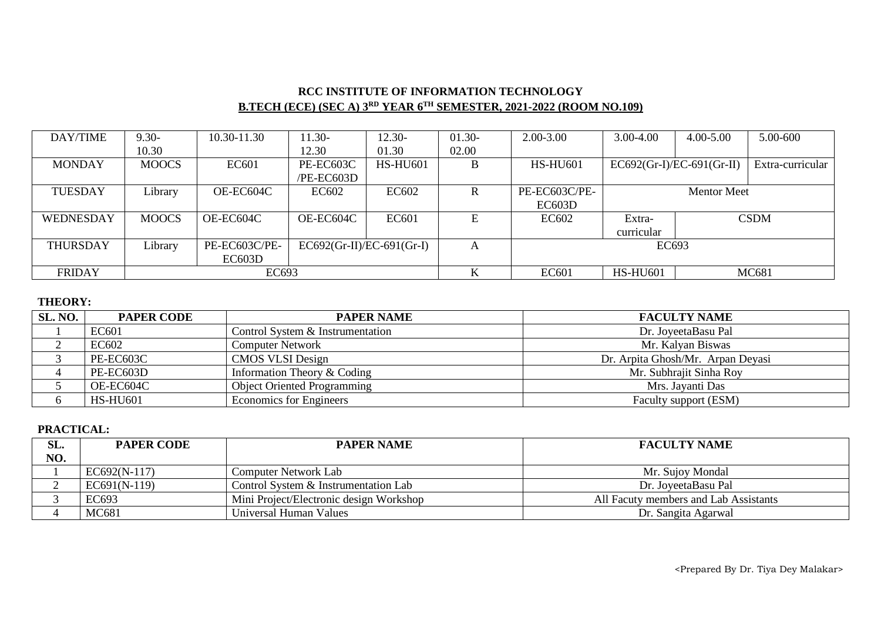# **RCC INSTITUTE OF INFORMATION TECHNOLOGY B.TECH (ECE) (SEC A) 3RD YEAR 6TH SEMESTER, 2021-2022 (ROOM NO.109)**

| DAY/TIME         | $9.30 -$     | 10.30-11.30   | $11.30-$                    | $2.30 -$        | $01.30 -$ | $2.00 - 3.00$   | 3.00-4.00                   | $4.00 - 5.00$      | 5.00-600         |
|------------------|--------------|---------------|-----------------------------|-----------------|-----------|-----------------|-----------------------------|--------------------|------------------|
|                  | 10.30        |               | 12.30                       | 01.30           | 02.00     |                 |                             |                    |                  |
| <b>MONDAY</b>    | <b>MOOCS</b> | EC601         | PE-EC603C                   | <b>HS-HU601</b> | B         | <b>HS-HU601</b> | $EC692(Gr-I)/EC-691(Gr-II)$ |                    | Extra-curricular |
|                  |              |               | /PE-EC603D                  |                 |           |                 |                             |                    |                  |
| <b>TUESDAY</b>   | Library      | OE-EC604C     | EC602                       | EC602           | R         | PE-EC603C/PE-   |                             | <b>Mentor Meet</b> |                  |
|                  |              |               |                             |                 |           | EC603D          |                             |                    |                  |
| <b>WEDNESDAY</b> | <b>MOOCS</b> | OE-EC604C     | OE-EC604C                   | <b>EC601</b>    | E         | EC602           | Extra-                      |                    | <b>CSDM</b>      |
|                  |              |               |                             |                 |           |                 | curricular                  |                    |                  |
| <b>THURSDAY</b>  | Library      | PE-EC603C/PE- | $EC692(Gr-II)/EC-691(Gr-I)$ |                 | A         |                 | EC693                       |                    |                  |
|                  |              | EC603D        |                             |                 |           |                 |                             |                    |                  |
| <b>FRIDAY</b>    |              | EC693         |                             |                 | K         | <b>EC601</b>    | <b>HS-HU601</b>             |                    | MC681            |

### **THEORY:**

| SL. NO. | <b>PAPER CODE</b> | <b>PAPER NAME</b>                  | <b>FACULTY NAME</b>               |
|---------|-------------------|------------------------------------|-----------------------------------|
|         | EC601             | Control System & Instrumentation   | Dr. JoyeetaBasu Pal               |
|         | EC602             | <b>Computer Network</b>            | Mr. Kalyan Biswas                 |
|         | PE-EC603C         | CMOS VLSI Design                   | Dr. Arpita Ghosh/Mr. Arpan Deyasi |
|         | PE-EC603D         | Information Theory $&$ Coding      | Mr. Subhrajit Sinha Roy           |
|         | OE-EC604C         | <b>Object Oriented Programming</b> | Mrs. Javanti Das                  |
|         | <b>HS-HU601</b>   | <b>Economics</b> for Engineers     | Faculty support (ESM)             |

| SL. | <b>PAPER CODE</b> | <b>PAPER NAME</b>                       | <b>FACULTY NAME</b>                   |
|-----|-------------------|-----------------------------------------|---------------------------------------|
| NO. |                   |                                         |                                       |
|     | EC692(N-117)      | <b>Computer Network Lab</b>             | Mr. Sujoy Mondal                      |
|     | $EC691(N-119)$    | Control System & Instrumentation Lab    | Dr. JoveetaBasu Pal                   |
|     | EC693             | Mini Project/Electronic design Workshop | All Facuty members and Lab Assistants |
|     | MC681             | Universal Human Values                  | Dr. Sangita Agarwal                   |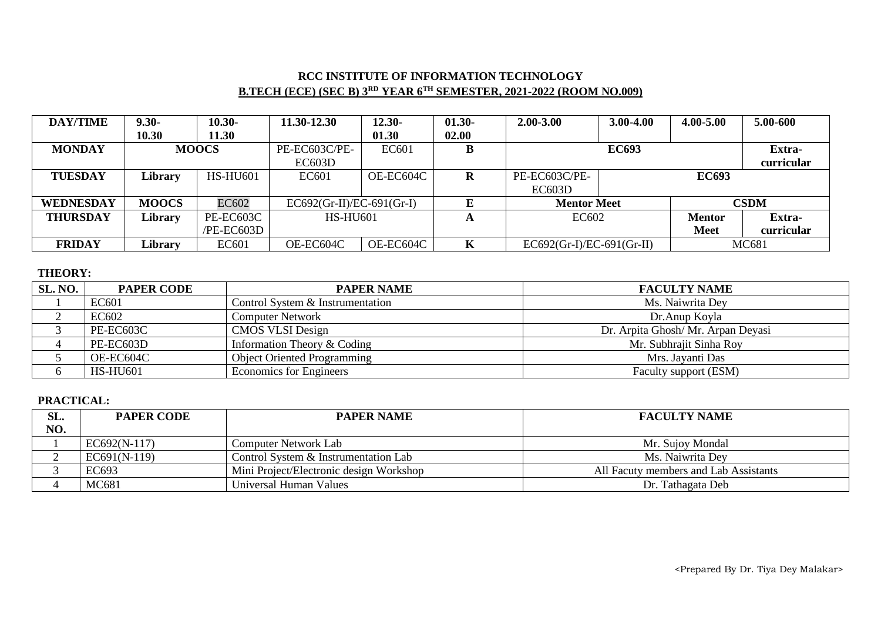# **RCC INSTITUTE OF INFORMATION TECHNOLOGY B.TECH (ECE) (SEC B) 3RD YEAR 6TH SEMESTER, 2021-2022 (ROOM NO.009)**

| <b>DAY/TIME</b> | $9.30 -$     | $10.30 -$       | 11.30-12.30                 | $12.30 -$    | $01.30 -$ | $2.00 - 3.00$               | $3.00 - 4.00$          | 4.00-5.00    | 5.00-600    |
|-----------------|--------------|-----------------|-----------------------------|--------------|-----------|-----------------------------|------------------------|--------------|-------------|
|                 | 10.30        | 11.30           |                             | 01.30        | 02.00     |                             |                        |              |             |
| <b>MONDAY</b>   |              | <b>MOOCS</b>    | PE-EC603C/PE-               | <b>EC601</b> | D         |                             | <b>EC693</b>           |              | Extra-      |
|                 |              |                 | EC603D                      |              |           |                             |                        |              | curricular  |
| <b>TUESDAY</b>  | Library      | <b>HS-HU601</b> | EC601                       | OE-EC604C    | R         | PE-EC603C/PE-               |                        | <b>EC693</b> |             |
|                 |              |                 |                             |              |           | EC603D                      |                        |              |             |
| WEDNESDAY       | <b>MOOCS</b> | EC602           | $EC692(Gr-II)/EC-691(Gr-I)$ |              |           | <b>Mentor Meet</b>          |                        |              | <b>CSDM</b> |
| <b>THURSDAY</b> | Library      | PE-EC603C       | <b>HS-HU601</b>             |              | A         |                             | EC602<br><b>Mentor</b> |              | Extra-      |
|                 |              | /PE-EC603D      |                             |              |           |                             |                        | <b>Meet</b>  | curricular  |
| <b>FRIDAY</b>   | Library      | <b>EC601</b>    | OE-EC604C                   | OE-EC604C    | K         | $EC692(Gr-I)/EC-691(Gr-II)$ |                        | MC681        |             |

### **THEORY:**

| SL. NO. | <b>PAPER CODE</b> | <b>PAPER NAME</b>                  | <b>FACULTY NAME</b>               |
|---------|-------------------|------------------------------------|-----------------------------------|
|         | EC601             | Control System & Instrumentation   | Ms. Naiwrita Dev                  |
|         | EC602             | <b>Computer Network</b>            | Dr. Anup Koyla                    |
|         | PE-EC603C         | <b>CMOS VLSI Design</b>            | Dr. Arpita Ghosh/Mr. Arpan Deyasi |
|         | PE-EC603D         | Information Theory $&$ Coding      | Mr. Subhrajit Sinha Roy           |
|         | OE-EC604C         | <b>Object Oriented Programming</b> | Mrs. Jayanti Das                  |
|         | <b>HS-HU601</b>   | <b>Economics for Engineers</b>     | Faculty support (ESM)             |

| SL. | <b>PAPER CODE</b> | <b>PAPER NAME</b>                       | <b>FACULTY NAME</b>                   |
|-----|-------------------|-----------------------------------------|---------------------------------------|
| NO. |                   |                                         |                                       |
|     | $EC692(N-117)$    | Computer Network Lab                    | Mr. Sujoy Mondal                      |
|     | $EC691(N-119)$    | Control System & Instrumentation Lab    | Ms. Naiwrita Dey                      |
|     | EC693             | Mini Project/Electronic design Workshop | All Facuty members and Lab Assistants |
|     | MC681             | Universal Human Values                  | Dr. Tathagata Deb                     |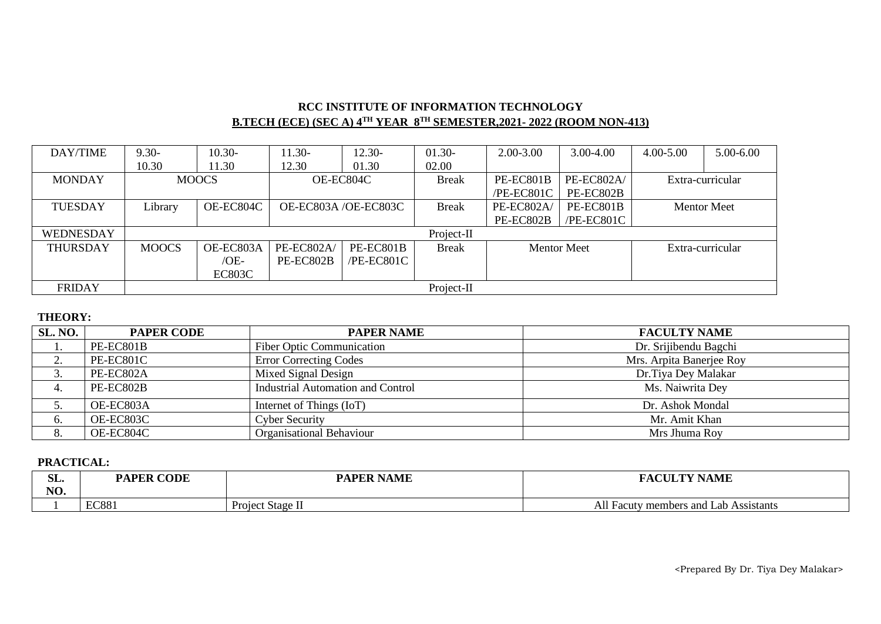## **RCC INSTITUTE OF INFORMATION TECHNOLOGY B.TECH (ECE) (SEC A) 4TH YEAR 8TH SEMESTER,2021- 2022 (ROOM NON-413)**

| DAY/TIME         | $9.30 -$     | $10.30-$                             | $11.30-$             | $12.30-$     | $01.30-$           | 2.00-3.00  | 3.00-4.00  | 4.00-5.00        | 5.00-6.00          |
|------------------|--------------|--------------------------------------|----------------------|--------------|--------------------|------------|------------|------------------|--------------------|
|                  | 10.30        | 11.30                                | 12.30                | 01.30        | 02.00              |            |            |                  |                    |
| <b>MONDAY</b>    |              | <b>MOOCS</b>                         | OE-EC804C            |              | <b>Break</b>       | PE-EC801B  | PE-EC802A/ | Extra-curricular |                    |
|                  |              |                                      |                      |              |                    | /PE-EC801C | PE-EC802B  |                  |                    |
| <b>TUESDAY</b>   | Library      | OE-EC804C                            | OE-EC803A /OE-EC803C |              | <b>Break</b>       | PE-EC802A/ | PE-EC801B  |                  | <b>Mentor Meet</b> |
|                  |              |                                      |                      |              |                    | PE-EC802B  | /PE-EC801C |                  |                    |
| <b>WEDNESDAY</b> |              |                                      |                      |              | Project-II         |            |            |                  |                    |
| <b>THURSDAY</b>  | <b>MOOCS</b> | OE-EC803A<br>PE-EC802A/<br>PE-EC801B |                      | <b>Break</b> | <b>Mentor Meet</b> |            |            | Extra-curricular |                    |
|                  |              | $/OE-$                               | PE-EC802B            | $/PE-EC801C$ |                    |            |            |                  |                    |
|                  |              | <b>EC803C</b>                        |                      |              |                    |            |            |                  |                    |
| <b>FRIDAY</b>    | Project-II   |                                      |                      |              |                    |            |            |                  |                    |

## **THEORY:**

| SL. NO.  | <b>PAPER CODE</b> | <b>PAPER NAME</b>                        | <b>FACULTY NAME</b>      |  |  |
|----------|-------------------|------------------------------------------|--------------------------|--|--|
|          | PE-EC801B         | <b>Fiber Optic Communication</b>         | Dr. Srijibendu Bagchi    |  |  |
| <u>.</u> | PE-EC801C         | <b>Error Correcting Codes</b>            | Mrs. Arpita Banerjee Roy |  |  |
| J.       | PE-EC802A         | Mixed Signal Design                      | Dr.Tiya Dey Malakar      |  |  |
| 4.       | PE-EC802B         | <b>Industrial Automation and Control</b> | Ms. Naiwrita Dey         |  |  |
|          | OE-EC803A         | Internet of Things (IoT)                 | Dr. Ashok Mondal         |  |  |
| 6.       | OE-EC803C         | <b>Cyber Security</b>                    | Mr. Amit Khan            |  |  |
| 8.       | OE-EC804C         | Organisational Behaviour                 | Mrs Jhuma Roy            |  |  |

| $\sim$<br>JL⊶ | CODE<br><b>PAPER</b><br>Ŧ | <b>PAPER NAME</b> | <b>FACULTY NAME</b>                   |  |  |
|---------------|---------------------------|-------------------|---------------------------------------|--|--|
| ៶τ∩<br>w.     |                           |                   |                                       |  |  |
|               | <b>EC881</b>              | Project Stage II  | All Facuty members and Lab Assistants |  |  |